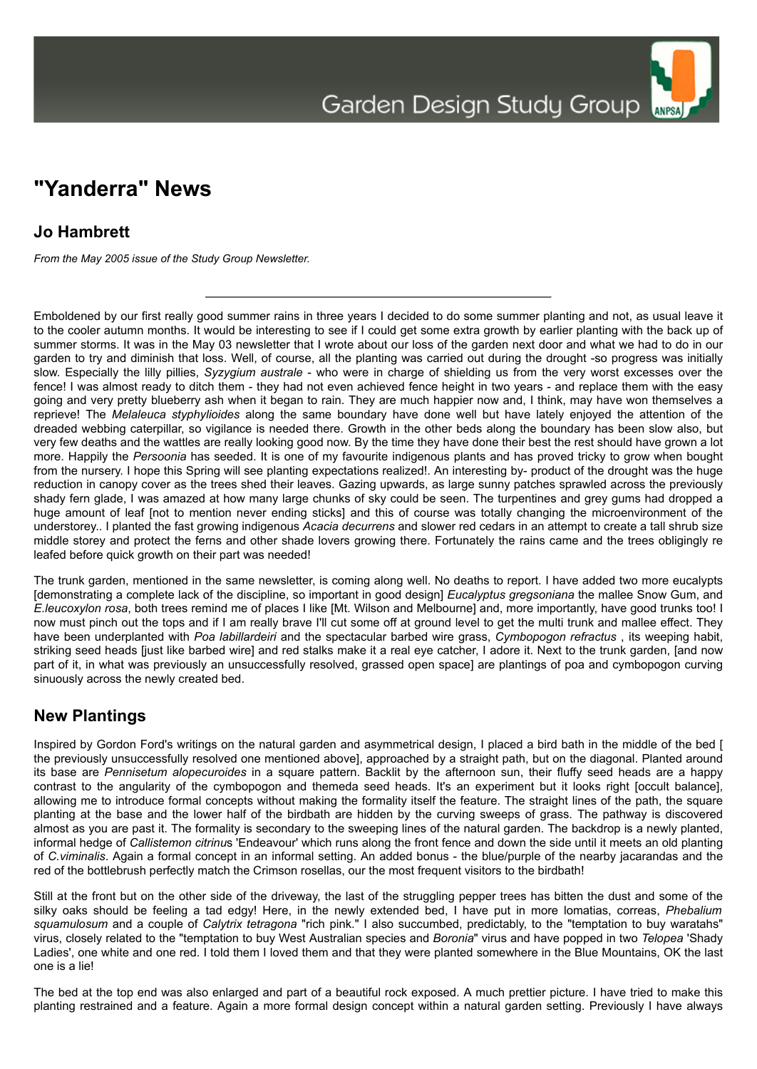## **"Yanderra" News**

## **Jo Hambrett**

*From the May 2005 issue of the Study Group Newsletter.*

Emboldened by our first really good summer rains in three years I decided to do some summer planting and not, as usual leave it to the cooler autumn months. It would be interesting to see if I could get some extra growth by earlier planting with the back up of summer storms. It was in the May 03 newsletter that I wrote about our loss of the garden next door and what we had to do in our garden to try and diminish that loss. Well, of course, all the planting was carried out during the drought -so progress was initially slow. Especially the lilly pillies, *Syzygium australe* - who were in charge of shielding us from the very worst excesses over the fence! I was almost ready to ditch them - they had not even achieved fence height in two years - and replace them with the easy going and very pretty blueberry ash when it began to rain. They are much happier now and, I think, may have won themselves a reprieve! The *Melaleuca styphylioides* along the same boundary have done well but have lately enjoyed the attention of the dreaded webbing caterpillar, so vigilance is needed there. Growth in the other beds along the boundary has been slow also, but very few deaths and the wattles are really looking good now. By the time they have done their best the rest should have grown a lot more. Happily the *Persoonia* has seeded. It is one of my favourite indigenous plants and has proved tricky to grow when bought from the nursery. I hope this Spring will see planting expectations realized!. An interesting by- product of the drought was the huge reduction in canopy cover as the trees shed their leaves. Gazing upwards, as large sunny patches sprawled across the previously shady fern glade, I was amazed at how many large chunks of sky could be seen. The turpentines and grey gums had dropped a huge amount of leaf [not to mention never ending sticks] and this of course was totally changing the microenvironment of the understorey.. I planted the fast growing indigenous *Acacia decurrens* and slower red cedars in an attempt to create a tall shrub size middle storey and protect the ferns and other shade lovers growing there. Fortunately the rains came and the trees obligingly re leafed before quick growth on their part was needed!

The trunk garden, mentioned in the same newsletter, is coming along well. No deaths to report. I have added two more eucalypts [demonstrating a complete lack of the discipline, so important in good design] *Eucalyptus gregsoniana* the mallee Snow Gum, and *E.leucoxylon rosa*, both trees remind me of places I like [Mt. Wilson and Melbourne] and, more importantly, have good trunks too! I now must pinch out the tops and if I am really brave I'll cut some off at ground level to get the multi trunk and mallee effect. They have been underplanted with *Poa labillardeiri* and the spectacular barbed wire grass, *Cymbopogon refractus* , its weeping habit, striking seed heads [just like barbed wire] and red stalks make it a real eye catcher, I adore it. Next to the trunk garden, [and now part of it, in what was previously an unsuccessfully resolved, grassed open space] are plantings of poa and cymbopogon curving sinuously across the newly created bed.

## **New Plantings**

Inspired by Gordon Ford's writings on the natural garden and asymmetrical design, I placed a bird bath in the middle of the bed [ the previously unsuccessfully resolved one mentioned above], approached by a straight path, but on the diagonal. Planted around its base are *Pennisetum alopecuroides* in a square pattern. Backlit by the afternoon sun, their fluffy seed heads are a happy contrast to the angularity of the cymbopogon and themeda seed heads. It's an experiment but it looks right [occult balance], allowing me to introduce formal concepts without making the formality itself the feature. The straight lines of the path, the square planting at the base and the lower half of the birdbath are hidden by the curving sweeps of grass. The pathway is discovered almost as you are past it. The formality is secondary to the sweeping lines of the natural garden. The backdrop is a newly planted, informal hedge of *Callistemon citrinu*s 'Endeavour' which runs along the front fence and down the side until it meets an old planting of *C.viminalis*. Again a formal concept in an informal setting. An added bonus - the blue/purple of the nearby jacarandas and the red of the bottlebrush perfectly match the Crimson rosellas, our the most frequent visitors to the birdbath!

Still at the front but on the other side of the driveway, the last of the struggling pepper trees has bitten the dust and some of the silky oaks should be feeling a tad edgy! Here, in the newly extended bed, I have put in more lomatias, correas, *Phebalium squamulosum* and a couple of *Calytrix tetragona* "rich pink." I also succumbed, predictably, to the "temptation to buy waratahs" virus, closely related to the "temptation to buy West Australian species and *Boronia*" virus and have popped in two *Telopea* 'Shady Ladies', one white and one red. I told them I loved them and that they were planted somewhere in the Blue Mountains, OK the last one is a lie!

The bed at the top end was also enlarged and part of a beautiful rock exposed. A much prettier picture. I have tried to make this planting restrained and a feature. Again a more formal design concept within a natural garden setting. Previously I have always